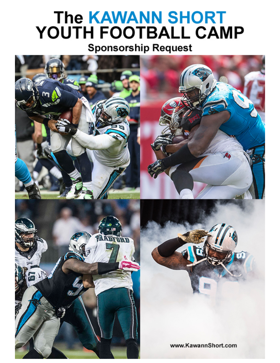# The KAWANN SHORT<br>YOUTH FOOTBALL CAMP

# **Sponsorship Request**

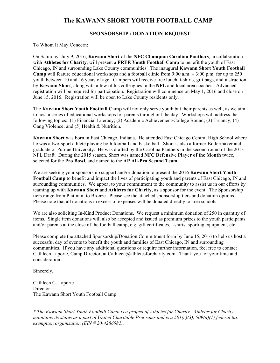# **The KAWANN SHORT YOUTH FOOTBALL CAMP**

### **SPONSORSHIP / DONATION REQUEST**

To Whom It May Concern:

On Saturday, July 9, 2016, **Kawann Short** of the **NFC Champion Carolina Panthers**, in collaboration with **Athletes for Charity**, will present a **FREE Youth Football Camp** to benefit the youth of East Chicago, IN and surrounding Lake County communities. The inaugural **Kawann Short Youth Football Camp** will feature educational workshops and a football clinic from 9:00 a.m. – 3:00 p.m. for up to 250 youth between 10 and 16 years of age. Campers will receive free lunch, t-shirts, gift bags, and instruction by **Kawann Short**, along with a few of his colleagues in the **NFL** and local area coaches. Advanced registration will be required for participation. Registration will commence on May 1, 2016 and close on June 15, 2016. Registration will be open to Lake County residents only.

The **Kawann Short Youth Football Camp** will not only serve youth but their parents as well, as we aim to host a series of educational workshops for parents throughout the day. Workshops will address the following topics: (1) Financial Literacy; (2) Academic Achievement/College Bound; (3) Truancy; (4) Gang Violence; and (5) Health & Nutrition.

**Kawann Short** was born in East Chicago, Indiana. He attended East Chicago Central High School where he was a two-sport athlete playing both football and basketball. Short is also a former Boilermaker and graduate of Purdue University. He was drafted by the Carolina Panthers in the second round of the 2013 NFL Draft. During the 2015 season, Short was named **NFC Defensive Player of the Month** twice, selected for the **Pro Bowl**, and named to the **AP All-Pro Second Team**.

We are seeking your sponsorship support and/or donation to present the **2016 Kawann Short Youth Football Camp** to benefit and impact the lives of participating youth and parents of East Chicago, IN and surrounding communities. We appeal to your commitment to the community to assist us in our efforts by teaming up with **Kawann Short** and **Athletes for Charity**, as a sponsor for the event. The Sponsorship tiers range from Platinum to Bronze. Please see the attached sponsorship tiers and donation options. Please note that all donations in excess of expenses will be donated directly to area schools.

We are also soliciting In-Kind Product Donations. We request a minimum donation of 250 in quantity of items. Single item donations will also be accepted and issued as premium prizes to the youth participants and/or parents at the close of the football camp, e.g. gift certificates, t-shirts, sporting equipment, etc.

Please complete the attached Sponsorship/Donation Commitment form by June 15, 2016 to help us host a successful day of events to benefit the youth and families of East Chicago, IN and surrounding communities. If you have any additional questions or require further information, feel free to contact Cathleen Laporte, Camp Director, at Cathleen@athletesforcharity.com. Thank you for your time and consideration.

Sincerely,

Cathleen C. Laporte **Director** The Kawann Short Youth Football Camp

*\* The Kawann Short Youth Football Camp is a project of Athletes for Charity. Athletes for Charity maintains its status as a part of United Charitable Programs and is a 501(c)(3), 509(a)(1) federal tax exemption organization (EIN # 20-4286082).*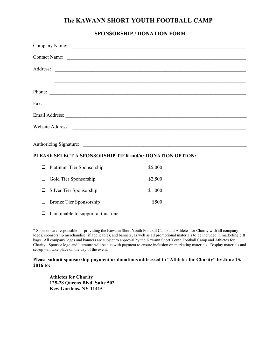# **The KAWANN SHORT YOUTH FOOTBALL CAMP**

## **SPONSORSHIP / DONATION FORM**

| Contact Name:                 |  |  |  |
|-------------------------------|--|--|--|
|                               |  |  |  |
|                               |  |  |  |
|                               |  |  |  |
| Phone:                        |  |  |  |
| Fax: $\overline{\phantom{a}}$ |  |  |  |
|                               |  |  |  |
|                               |  |  |  |
|                               |  |  |  |
|                               |  |  |  |
|                               |  |  |  |
|                               |  |  |  |

### **PLEASE SELECT A SPONSORSHIP TIER and/or DONATION OPTION:**

| $\Box$ Platinum Tier Sponsorship | \$5,000 |
|----------------------------------|---------|
| $\Box$ Gold Tier Sponsorship     | \$2,500 |
| $\Box$ Silver Tier Sponsorship   | \$1,000 |
| $\Box$ Bronze Tier Sponsorship   | \$500   |

 $\Box$  I am unable to support at this time.

\* Sponsors are responsible for providing the Kawann Short Youth Football Camp and Athletes for Charity with all company logos, sponsorship merchandise (if applicable), and banners, as well as all promotional materials to be included in marketing gift bags. All company logos and banners are subject to approval by the Kawann Short Youth Football Camp and Athletes for Charity. Sponsor logo and literature will be due with payment to ensure inclusion on marketing materials. Display materials and set-up will take place on the day of the event.

### **Please submit sponsorship payment or donations addressed to "Athletes for Charity" by June 15, 2016 to:**

**Athletes for Charity 125-28 Queens Blvd. Suite 502 Kew Gardens, NY 11415**